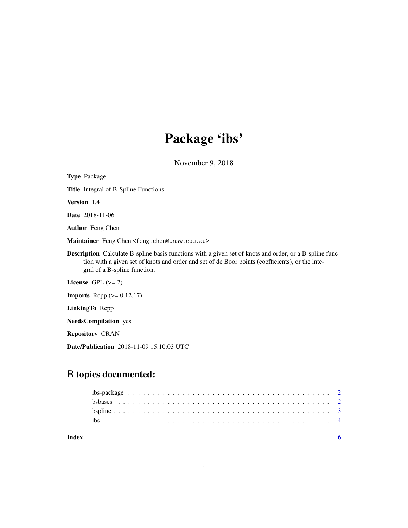## Package 'ibs'

November 9, 2018

<span id="page-0-0"></span>Type Package Title Integral of B-Spline Functions Version 1.4 Date 2018-11-06 Author Feng Chen Maintainer Feng Chen <feng.chen@unsw.edu.au> Description Calculate B-spline basis functions with a given set of knots and order, or a B-spline function with a given set of knots and order and set of de Boor points (coefficients), or the integral of a B-spline function. License GPL  $(>= 2)$ **Imports** Rcpp  $(>= 0.12.17)$ LinkingTo Rcpp NeedsCompilation yes Repository CRAN

Date/Publication 2018-11-09 15:10:03 UTC

### R topics documented:

#### **Index** [6](#page-5-0) **6**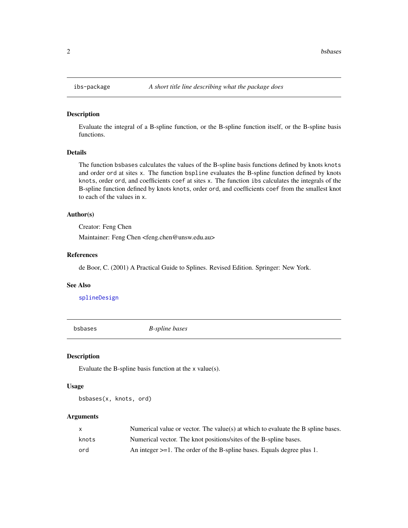#### Description

Evaluate the integral of a B-spline function, or the B-spline function itself, or the B-spline basis functions.

#### Details

The function bsbases calculates the values of the B-spline basis functions defined by knots knots and order ord at sites x. The function bspline evaluates the B-spline function defined by knots knots, order ord, and coefficients coef at sites x. The function ibs calculates the integrals of the B-spline function defined by knots knots, order ord, and coefficients coef from the smallest knot to each of the values in x.

#### Author(s)

Creator: Feng Chen

Maintainer: Feng Chen <feng.chen@unsw.edu.au>

#### References

de Boor, C. (2001) A Practical Guide to Splines. Revised Edition. Springer: New York.

#### See Also

[splineDesign](#page-0-0)

bsbases *B-spline bases*

#### Description

Evaluate the B-spline basis function at the x value(s).

#### Usage

bsbases(x, knots, ord)

#### Arguments

| X     | Numerical value or vector. The value(s) at which to evaluate the B spline bases. |
|-------|----------------------------------------------------------------------------------|
| knots | Numerical vector. The knot positions/sites of the B-spline bases.                |
| ord   | An integer $>=1$ . The order of the B-spline bases. Equals degree plus 1.        |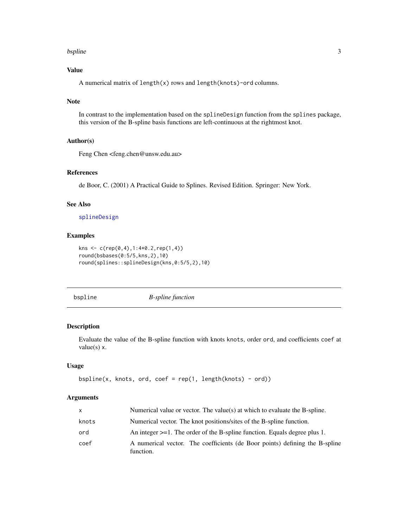#### <span id="page-2-0"></span>bspline 3

#### Value

A numerical matrix of length(x) rows and length(knots)-ord columns.

#### Note

In contrast to the implementation based on the splineDesign function from the splines package, this version of the B-spline basis functions are left-continuous at the rightmost knot.

#### Author(s)

Feng Chen <feng.chen@unsw.edu.au>

#### References

de Boor, C. (2001) A Practical Guide to Splines. Revised Edition. Springer: New York.

#### See Also

#### [splineDesign](#page-0-0)

#### Examples

```
kns <- c(rep(0,4),1:4*0.2,rep(1,4))
round(bsbases(0:5/5,kns,2),10)
round(splines::splineDesign(kns,0:5/5,2),10)
```
<span id="page-2-1"></span>bspline *B-spline function*

#### Description

Evaluate the value of the B-spline function with knots knots, order ord, and coefficients coef at value $(s)$  x.

#### Usage

```
bspline(x, knots, ord, coef = rep(1, length(knots) - ord))
```
#### Arguments

| x     | Numerical value or vector. The value(s) at which to evaluate the B-spline.               |
|-------|------------------------------------------------------------------------------------------|
| knots | Numerical vector. The knot positions/sites of the B-spline function.                     |
| ord   | An integer $>=1$ . The order of the B-spline function. Equals degree plus 1.             |
| coef  | A numerical vector. The coefficients (de Boor points) defining the B-spline<br>function. |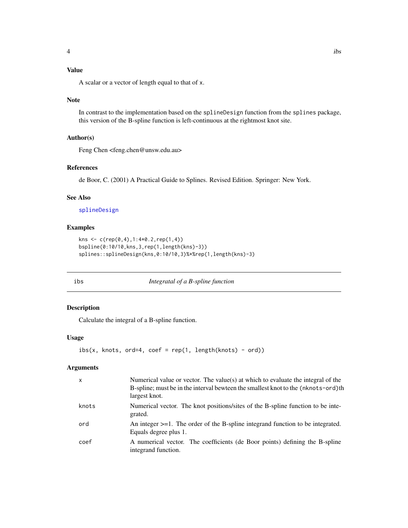#### <span id="page-3-0"></span>Value

A scalar or a vector of length equal to that of x.

#### Note

In contrast to the implementation based on the splineDesign function from the splines package, this version of the B-spline function is left-continuous at the rightmost knot site.

#### Author(s)

Feng Chen <feng.chen@unsw.edu.au>

#### References

de Boor, C. (2001) A Practical Guide to Splines. Revised Edition. Springer: New York.

#### See Also

[splineDesign](#page-0-0)

#### Examples

```
kns <- c(rep(0,4),1:4*0.2,rep(1,4))
bspline(0:10/10,kns,3,rep(1,length(kns)-3))
splines::splineDesign(kns,0:10/10,3)%*%rep(1,length(kns)-3)
```
ibs *Integratal of a B-spline function*

#### Description

Calculate the integral of a B-spline function.

#### Usage

```
ibs(x, knots, ord=4, coef = rep(1, length(knots) - ord))
```
#### Arguments

| $\mathsf{x}$ | Numerical value or vector. The value(s) at which to evaluate the integral of the<br>B-spline; must be in the interval bewteen the smallest knot to the (nknots-ord) the<br>largest knot. |
|--------------|------------------------------------------------------------------------------------------------------------------------------------------------------------------------------------------|
| knots        | Numerical vector. The knot positions/sites of the B-spline function to be inte-<br>grated.                                                                                               |
| ord          | An integer $>=1$ . The order of the B-spline integrand function to be integrated.<br>Equals degree plus 1.                                                                               |
| coef         | A numerical vector. The coefficients (de Boor points) defining the B-spline<br>integrand function.                                                                                       |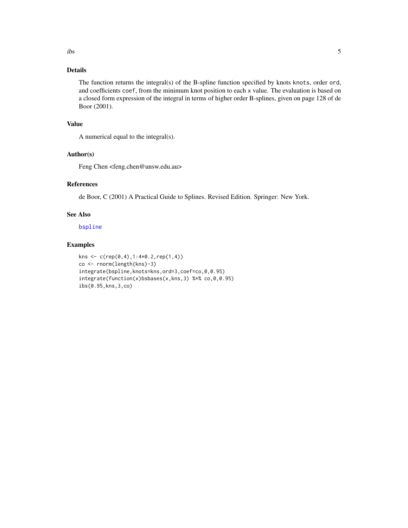#### <span id="page-4-0"></span>Details

The function returns the integral(s) of the B-spline function specified by knots knots, order ord, and coefficients coef, from the minimum knot position to each x value. The evaluation is based on a closed form expression of the integral in terms of higher order B-splines, given on page 128 of de Boor (2001).

#### Value

A numerical equal to the integral(s).

#### Author(s)

Feng Chen <feng.chen@unsw.edu.au>

#### References

de Boor, C (2001) A Practical Guide to Splines. Revised Edition. Springer: New York.

#### See Also

[bspline](#page-2-1)

#### Examples

```
kns <- c(rep(0,4),1:4*0.2,rep(1,4))
co <- rnorm(length(kns)-3)
integrate(bspline,knots=kns,ord=3,coef=co,0,0.95)
integrate(function(x)bsbases(x,kns,3) %*% co,0,0.95)
ibs(0.95,kns,3,co)
```